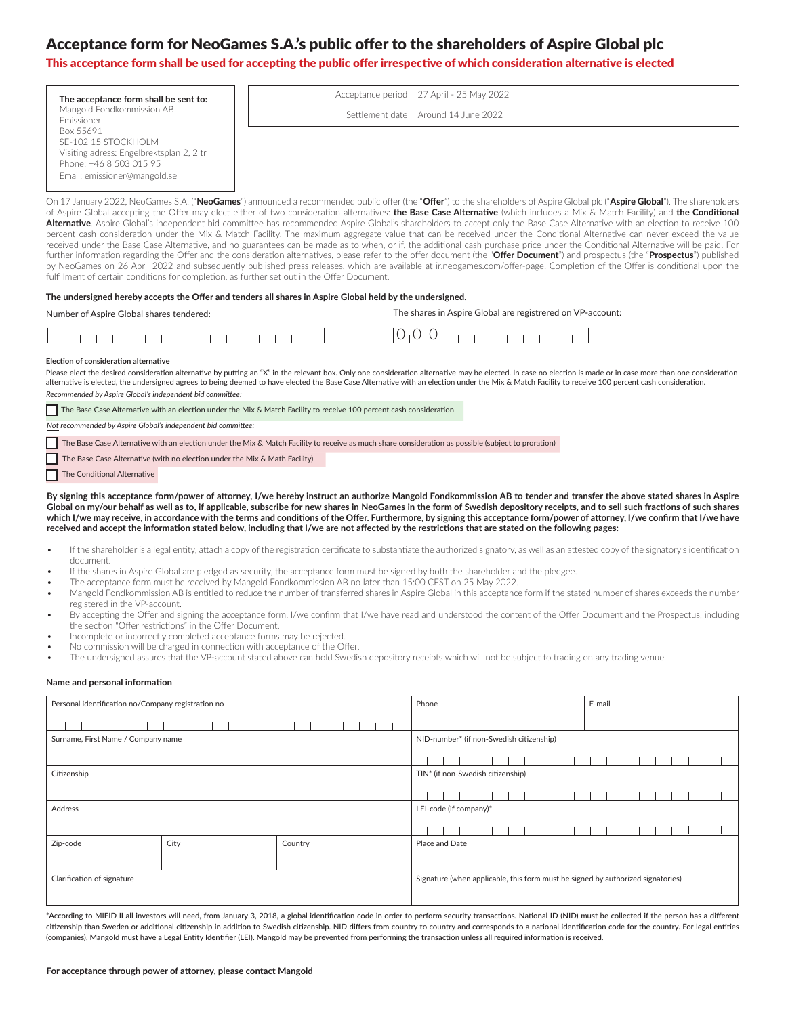# Acceptance form for NeoGames S.A.'s public offer to the shareholders of Aspire Global plc

## This acceptance form shall be used for accepting the public offer irrespective of which consideration alternative is elected

| The acceptance form shall be sent to:    | Acceptance period   27 April - 25 May 2022 |
|------------------------------------------|--------------------------------------------|
| Mangold Fondkommission AB<br>Emissioner  | Settlement date   Around 14 June 2022      |
| Box 55691<br>SE-102 15 STOCKHOLM         |                                            |
| Visiting adress: Engelbrektsplan 2, 2 tr |                                            |

On 17 January 2022, NeoGames S.A. ("**NeoGames**") announced a recommended public offer (the "**Offer**") to the shareholders of Aspire Global plc ("**Aspire Global**"). The shareholders of Aspire Global accepting the Offer may elect either of two consideration alternatives: **the Base Case Alternative** (which includes a Mix & Match Facility) and **the Conditional Alternative**. Aspire Global's independent bid committee has recommended Aspire Global's shareholders to accept only the Base Case Alternative with an election to receive 100 percent cash consideration under the Mix & Match Facility. The maximum aggregate value that can be received under the Conditional Alternative can never exceed the value received under the Base Case Alternative, and no guarantees can be made as to when, or if, the additional cash purchase price under the Conditional Alternative will be paid. For further information regarding the Offer and the consideration alternatives, please refer to the offer document (the "**Offer Document**") and prospectus (the "**Prospectus**") published by NeoGames on 26 April 2022 and subsequently published press releases, which are available at ir.neogames.com/offer-page. Completion of the Offer is conditional upon the fulfillment of certain conditions for completion, as further set out in the Offer Document.

#### **The undersigned hereby accepts the Offer and tenders all shares in Aspire Global held by the undersigned.**

Number of Aspire Global shares tendered: The shares in Aspire Global are registrered on VP-account:

| $\check{ }$ |  |
|-------------|--|
|-------------|--|

#### **Election of consideration alternative**

Phone: +46 8 503 015 95 Email: emissioner@mangold.se

Please elect the desired consideration alternative by putting an "X" in the relevant box. Only one consideration alternative may be elected. In case no election is made or in case more than one consideration alternative is elected, the undersigned agrees to being deemed to have elected the Base Case Alternative with an election under the Mix & Match Facility to receive 100 percent cash consideration. *Recommended by Aspire Global's independent bid committee:*

The Base Case Alternative with an election under the Mix & Match Facility to receive 100 percent cash consideration

*Not recommended by Aspire Global's independent bid committee:*

- The Base Case Alternative with an election under the Mix & Match Facility to receive as much share consideration as possible (subject to proration)
- The Base Case Alternative (with no election under the Mix & Math Facility)

The Conditional Alternative

**By signing this acceptance form/power of attorney, I/we hereby instruct an authorize Mangold Fondkommission AB to tender and transfer the above stated shares in Aspire Global on my/our behalf as well as to, if applicable, subscribe for new shares in NeoGames in the form of Swedish depository receipts, and to sell such fractions of such shares**  which I/we may receive, in accordance with the terms and conditions of the Offer. Furthermore, by signing this acceptance form/power of attorney, I/we confirm that I/we have **received and accept the information stated below, including that I/we are not affected by the restrictions that are stated on the following pages:**

- If the shareholder is a legal entity, attach a copy of the registration certificate to substantiate the authorized signatory, as well as an attested copy of the signatory's identification document.
- If the shares in Aspire Global are pledged as security, the acceptance form must be signed by both the shareholder and the pledgee.
- The acceptance form must be received by Mangold Fondkommission AB no later than 15:00 CEST on 25 May 2022.
- Mangold Fondkommission AB is entitled to reduce the number of transferred shares in Aspire Global in this acceptance form if the stated number of shares exceeds the number registered in the VP-account.
- By accepting the Offer and signing the acceptance form, I/we confirm that I/we have read and understood the content of the Offer Document and the Prospectus, including the section "Offer restrictions" in the Offer Document.
- Incomplete or incorrectly completed acceptance forms may be rejected.
- No commission will be charged in connection with acceptance of the Offer.
- The undersigned assures that the VP-account stated above can hold Swedish depository receipts which will not be subject to trading on any trading venue.

#### **Name and personal information**

| Personal identification no/Company registration no |      |         | Phone                                                                           |  |  |  |  |  |  | E-mail |  |  |  |  |  |  |  |  |  |  |  |
|----------------------------------------------------|------|---------|---------------------------------------------------------------------------------|--|--|--|--|--|--|--------|--|--|--|--|--|--|--|--|--|--|--|
|                                                    |      |         |                                                                                 |  |  |  |  |  |  |        |  |  |  |  |  |  |  |  |  |  |  |
| Surname, First Name / Company name                 |      |         | NID-number* (if non-Swedish citizenship)                                        |  |  |  |  |  |  |        |  |  |  |  |  |  |  |  |  |  |  |
|                                                    |      |         |                                                                                 |  |  |  |  |  |  |        |  |  |  |  |  |  |  |  |  |  |  |
| Citizenship                                        |      |         | TIN* (if non-Swedish citizenship)                                               |  |  |  |  |  |  |        |  |  |  |  |  |  |  |  |  |  |  |
|                                                    |      |         |                                                                                 |  |  |  |  |  |  |        |  |  |  |  |  |  |  |  |  |  |  |
| Address                                            |      |         | LEI-code (if company)*                                                          |  |  |  |  |  |  |        |  |  |  |  |  |  |  |  |  |  |  |
|                                                    |      |         |                                                                                 |  |  |  |  |  |  |        |  |  |  |  |  |  |  |  |  |  |  |
| Zip-code                                           | City | Country | Place and Date                                                                  |  |  |  |  |  |  |        |  |  |  |  |  |  |  |  |  |  |  |
|                                                    |      |         |                                                                                 |  |  |  |  |  |  |        |  |  |  |  |  |  |  |  |  |  |  |
| Clarification of signature                         |      |         | Signature (when applicable, this form must be signed by authorized signatories) |  |  |  |  |  |  |        |  |  |  |  |  |  |  |  |  |  |  |
|                                                    |      |         |                                                                                 |  |  |  |  |  |  |        |  |  |  |  |  |  |  |  |  |  |  |

\*According to MIFID II all investors will need, from January 3, 2018, a global identification code in order to perform security transactions. National ID (NID) must be collected if the person has a different citizenship than Sweden or additional citizenship in addition to Swedish citizenship. NID differs from country to country and corresponds to a national identification code for the country. For legal entities (companies), Mangold must have a Legal Entity Identifier (LEI). Mangold may be prevented from performing the transaction unless all required information is received.